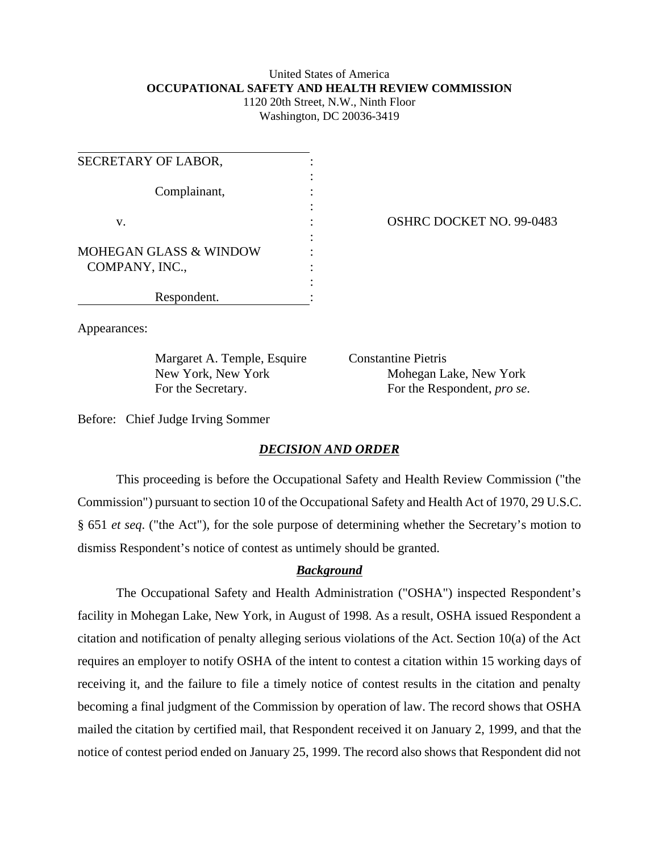## United States of America **OCCUPATIONAL SAFETY AND HEALTH REVIEW COMMISSION** 1120 20th Street, N.W., Ninth Floor

Washington, DC 20036-3419

| SECRETARY OF LABOR,           |  |
|-------------------------------|--|
| Complainant,                  |  |
| v.                            |  |
| MOHEGAN GLASS & WINDOW        |  |
|                               |  |
| COMPANY, INC.,<br>Respondent. |  |

OSHRC DOCKET NO. 99-0483

Appearances:

Margaret A. Temple, Esquire Constantine Pietris

New York, New York Mohegan Lake, New York For the Secretary. For the Respondent, *pro se*.

Before: Chief Judge Irving Sommer

## *DECISION AND ORDER*

This proceeding is before the Occupational Safety and Health Review Commission ("the Commission") pursuant to section 10 of the Occupational Safety and Health Act of 1970, 29 U.S.C. § 651 *et seq*. ("the Act"), for the sole purpose of determining whether the Secretary's motion to dismiss Respondent's notice of contest as untimely should be granted.

## *Background*

The Occupational Safety and Health Administration ("OSHA") inspected Respondent's facility in Mohegan Lake, New York, in August of 1998. As a result, OSHA issued Respondent a citation and notification of penalty alleging serious violations of the Act. Section 10(a) of the Act requires an employer to notify OSHA of the intent to contest a citation within 15 working days of receiving it, and the failure to file a timely notice of contest results in the citation and penalty becoming a final judgment of the Commission by operation of law. The record shows that OSHA mailed the citation by certified mail, that Respondent received it on January 2, 1999, and that the notice of contest period ended on January 25, 1999. The record also shows that Respondent did not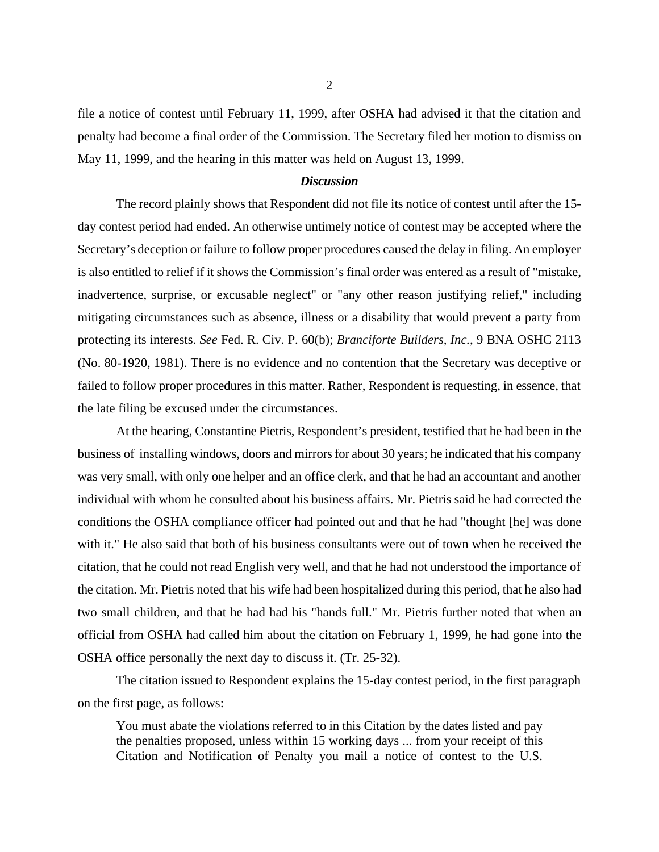file a notice of contest until February 11, 1999, after OSHA had advised it that the citation and penalty had become a final order of the Commission. The Secretary filed her motion to dismiss on May 11, 1999, and the hearing in this matter was held on August 13, 1999.

## *Discussion*

The record plainly shows that Respondent did not file its notice of contest until after the 15 day contest period had ended. An otherwise untimely notice of contest may be accepted where the Secretary's deception or failure to follow proper procedures caused the delay in filing. An employer is also entitled to relief if it shows the Commission's final order was entered as a result of "mistake, inadvertence, surprise, or excusable neglect" or "any other reason justifying relief," including mitigating circumstances such as absence, illness or a disability that would prevent a party from protecting its interests. *See* Fed. R. Civ. P. 60(b); *Branciforte Builders, Inc.*, 9 BNA OSHC 2113 (No. 80-1920, 1981). There is no evidence and no contention that the Secretary was deceptive or failed to follow proper procedures in this matter. Rather, Respondent is requesting, in essence, that the late filing be excused under the circumstances.

At the hearing, Constantine Pietris, Respondent's president, testified that he had been in the business of installing windows, doors and mirrors for about 30 years; he indicated that his company was very small, with only one helper and an office clerk, and that he had an accountant and another individual with whom he consulted about his business affairs. Mr. Pietris said he had corrected the conditions the OSHA compliance officer had pointed out and that he had "thought [he] was done with it." He also said that both of his business consultants were out of town when he received the citation, that he could not read English very well, and that he had not understood the importance of the citation. Mr. Pietris noted that his wife had been hospitalized during this period, that he also had two small children, and that he had had his "hands full." Mr. Pietris further noted that when an official from OSHA had called him about the citation on February 1, 1999, he had gone into the OSHA office personally the next day to discuss it. (Tr. 25-32).

The citation issued to Respondent explains the 15-day contest period, in the first paragraph on the first page, as follows:

You must abate the violations referred to in this Citation by the dates listed and pay the penalties proposed, unless within 15 working days ... from your receipt of this Citation and Notification of Penalty you mail a notice of contest to the U.S.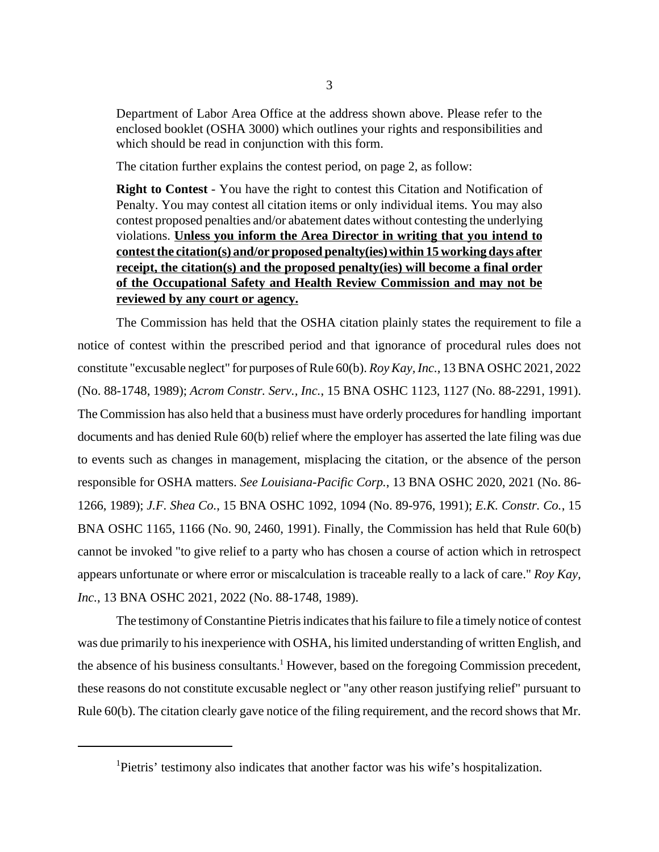Department of Labor Area Office at the address shown above. Please refer to the enclosed booklet (OSHA 3000) which outlines your rights and responsibilities and which should be read in conjunction with this form.

The citation further explains the contest period, on page 2, as follow:

**Right to Contest** - You have the right to contest this Citation and Notification of Penalty. You may contest all citation items or only individual items. You may also contest proposed penalties and/or abatement dates without contesting the underlying violations. **Unless you inform the Area Director in writing that you intend to contest the citation(s) and/or proposed penalty(ies) within 15 working days after receipt, the citation(s) and the proposed penalty(ies) will become a final order of the Occupational Safety and Health Review Commission and may not be reviewed by any court or agency.**

The Commission has held that the OSHA citation plainly states the requirement to file a notice of contest within the prescribed period and that ignorance of procedural rules does not constitute "excusable neglect" for purposes of Rule 60(b). *Roy Kay, Inc.*, 13 BNA OSHC 2021, 2022 (No. 88-1748, 1989); *Acrom Constr. Serv., Inc.*, 15 BNA OSHC 1123, 1127 (No. 88-2291, 1991). The Commission has also held that a business must have orderly procedures for handling important documents and has denied Rule 60(b) relief where the employer has asserted the late filing was due to events such as changes in management, misplacing the citation, or the absence of the person responsible for OSHA matters. *See Louisiana-Pacific Corp.*, 13 BNA OSHC 2020, 2021 (No. 86- 1266, 1989); *J.F. Shea Co.*, 15 BNA OSHC 1092, 1094 (No. 89-976, 1991); *E.K. Constr. Co.*, 15 BNA OSHC 1165, 1166 (No. 90, 2460, 1991). Finally, the Commission has held that Rule 60(b) cannot be invoked "to give relief to a party who has chosen a course of action which in retrospect appears unfortunate or where error or miscalculation is traceable really to a lack of care." *Roy Kay, Inc.*, 13 BNA OSHC 2021, 2022 (No. 88-1748, 1989).

The testimony of Constantine Pietris indicates that his failure to file a timely notice of contest was due primarily to his inexperience with OSHA, his limited understanding of written English, and the absence of his business consultants.<sup>1</sup> However, based on the foregoing Commission precedent, these reasons do not constitute excusable neglect or "any other reason justifying relief" pursuant to Rule 60(b). The citation clearly gave notice of the filing requirement, and the record shows that Mr.

<sup>&</sup>lt;sup>1</sup>Pietris' testimony also indicates that another factor was his wife's hospitalization.